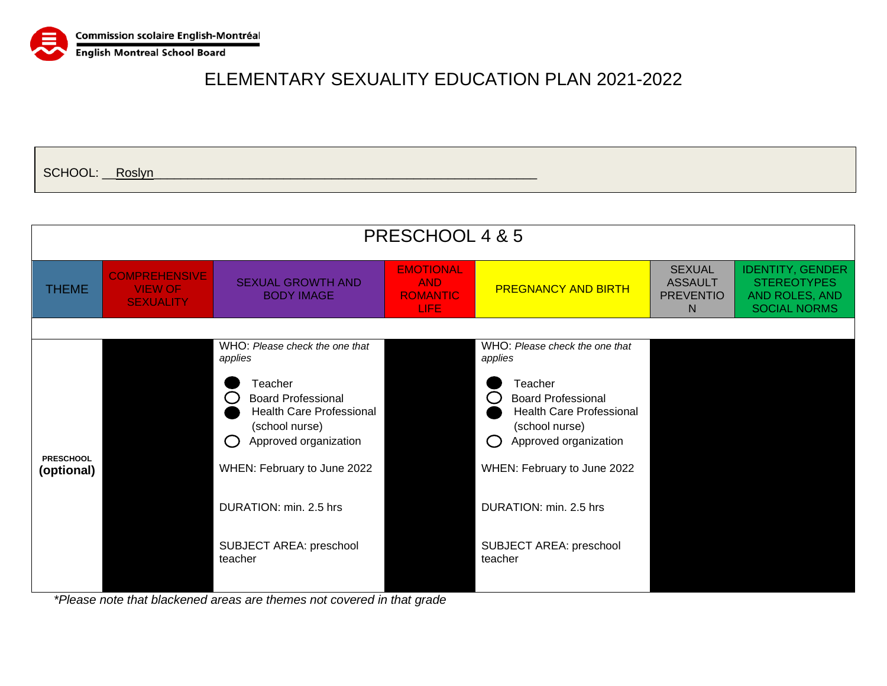

SCHOOL: <u>\_\_Roslyn</u>

|                                |                                                            |                                                                                                                                                                                                                                                                                                                        | PRESCHOOL 4 & 5                                                  |                                                                                                                                                                                                                                                                                                                               |                                                          |                                                                                        |
|--------------------------------|------------------------------------------------------------|------------------------------------------------------------------------------------------------------------------------------------------------------------------------------------------------------------------------------------------------------------------------------------------------------------------------|------------------------------------------------------------------|-------------------------------------------------------------------------------------------------------------------------------------------------------------------------------------------------------------------------------------------------------------------------------------------------------------------------------|----------------------------------------------------------|----------------------------------------------------------------------------------------|
| <b>THEME</b>                   | <b>COMPREHENSIVE</b><br><b>VIEW OF</b><br><b>SEXUALITY</b> | <b>SEXUAL GROWTH AND</b><br><b>BODY IMAGE</b>                                                                                                                                                                                                                                                                          | <b>EMOTIONAL</b><br><b>AND</b><br><b>ROMANTIC</b><br><b>LIFE</b> | <b>PREGNANCY AND BIRTH</b>                                                                                                                                                                                                                                                                                                    | <b>SEXUAL</b><br><b>ASSAULT</b><br><b>PREVENTIO</b><br>N | <b>IDENTITY, GENDER</b><br><b>STEREOTYPES</b><br>AND ROLES, AND<br><b>SOCIAL NORMS</b> |
| <b>PRESCHOOL</b><br>(optional) |                                                            | WHO: Please check the one that<br>applies<br>Teacher<br><b>Board Professional</b><br><b>Health Care Professional</b><br>(school nurse)<br>Approved organization<br>$\left( \begin{array}{c} \end{array} \right)$<br>WHEN: February to June 2022<br>DURATION: min. 2.5 hrs<br><b>SUBJECT AREA: preschool</b><br>teacher |                                                                  | WHO: Please check the one that<br>applies<br>Teacher<br><b>Board Professional</b><br>$\left( \begin{array}{c} 1 \end{array} \right)$<br><b>Health Care Professional</b><br>(school nurse)<br>Approved organization<br>Ω<br>WHEN: February to June 2022<br>DURATION: min. 2.5 hrs<br><b>SUBJECT AREA: preschool</b><br>teacher |                                                          |                                                                                        |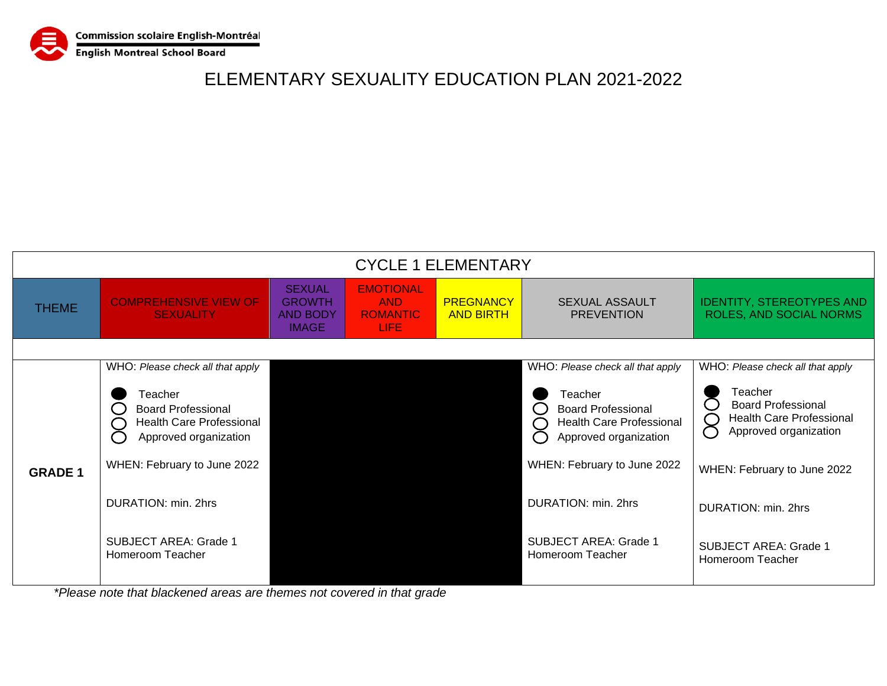

|                | <b>CYCLE 1 ELEMENTARY</b>                                                                                                       |                                                                   |                                                            |                                      |                                                                                                                                                                     |                                                                                                                                                            |  |  |
|----------------|---------------------------------------------------------------------------------------------------------------------------------|-------------------------------------------------------------------|------------------------------------------------------------|--------------------------------------|---------------------------------------------------------------------------------------------------------------------------------------------------------------------|------------------------------------------------------------------------------------------------------------------------------------------------------------|--|--|
| <b>THEME</b>   | <b>COMPREHENSIVE VIEW OF</b><br><b>SEXUALITY</b>                                                                                | <b>SEXUAL</b><br><b>GROWTH</b><br><b>AND BODY</b><br><b>IMAGE</b> | <b>EMOTIONAL</b><br><b>AND</b><br><b>ROMANTIC</b><br>LIFE. | <b>PREGNANCY</b><br><b>AND BIRTH</b> | <b>SEXUAL ASSAULT</b><br><b>PREVENTION</b>                                                                                                                          | <b>IDENTITY, STEREOTYPES AND</b><br>ROLES, AND SOCIAL NORMS                                                                                                |  |  |
|                |                                                                                                                                 |                                                                   |                                                            |                                      |                                                                                                                                                                     |                                                                                                                                                            |  |  |
|                | WHO: Please check all that apply                                                                                                |                                                                   |                                                            |                                      | WHO: Please check all that apply                                                                                                                                    | WHO: Please check all that apply                                                                                                                           |  |  |
|                | Teacher<br><b>Board Professional</b><br><b>Health Care Professional</b><br>Approved organization<br>WHEN: February to June 2022 |                                                                   |                                                            |                                      | Teacher<br>$\overline{C}$<br><b>Board Professional</b><br><b>Health Care Professional</b><br>C<br>$\subset$<br>Approved organization<br>WHEN: February to June 2022 | Teacher<br>$\mathcal{C}^{\mathcal{C}}$<br><b>Board Professional</b><br><b>Health Care Professional</b><br>$\subset$<br>$\bigcirc$<br>Approved organization |  |  |
| <b>GRADE 1</b> |                                                                                                                                 |                                                                   |                                                            |                                      |                                                                                                                                                                     | WHEN: February to June 2022                                                                                                                                |  |  |
|                | DURATION: min. 2hrs                                                                                                             |                                                                   |                                                            |                                      | DURATION: min. 2hrs                                                                                                                                                 | DURATION: min. 2hrs                                                                                                                                        |  |  |
|                | <b>SUBJECT AREA: Grade 1</b><br>Homeroom Teacher                                                                                |                                                                   |                                                            |                                      | <b>SUBJECT AREA: Grade 1</b><br>Homeroom Teacher                                                                                                                    | <b>SUBJECT AREA: Grade 1</b><br>Homeroom Teacher                                                                                                           |  |  |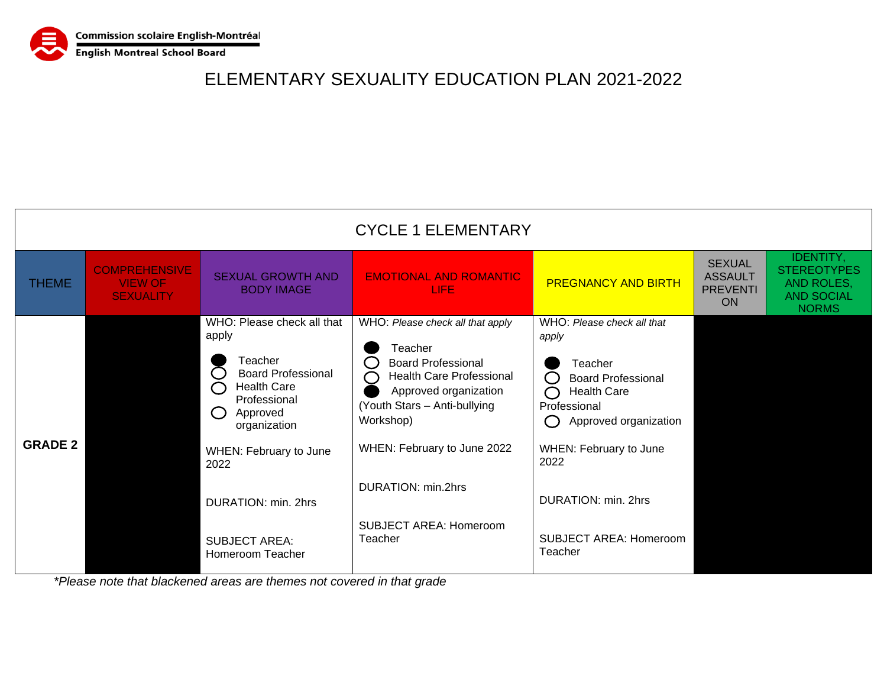

|                |                                                            |                                                                                                                                                                                                                                                                              | <b>CYCLE 1 ELEMENTARY</b>                                                                                                                                                                                                                                                                  |                                                                                                                                                                                                                                                 |                                                                 |                                                                                           |
|----------------|------------------------------------------------------------|------------------------------------------------------------------------------------------------------------------------------------------------------------------------------------------------------------------------------------------------------------------------------|--------------------------------------------------------------------------------------------------------------------------------------------------------------------------------------------------------------------------------------------------------------------------------------------|-------------------------------------------------------------------------------------------------------------------------------------------------------------------------------------------------------------------------------------------------|-----------------------------------------------------------------|-------------------------------------------------------------------------------------------|
| <b>THEME</b>   | <b>COMPREHENSIVE</b><br><b>VIEW OF</b><br><b>SEXUALITY</b> | <b>SEXUAL GROWTH AND</b><br><b>BODY IMAGE</b>                                                                                                                                                                                                                                | <b>EMOTIONAL AND ROMANTIC</b><br>LIFE                                                                                                                                                                                                                                                      | <b>PREGNANCY AND BIRTH</b>                                                                                                                                                                                                                      | <b>SEXUAL</b><br><b>ASSAULT</b><br><b>PREVENTI</b><br><b>ON</b> | <b>IDENTITY,</b><br><b>STEREOTYPES</b><br>AND ROLES,<br><b>AND SOCIAL</b><br><b>NORMS</b> |
| <b>GRADE 2</b> |                                                            | WHO: Please check all that<br>apply<br>Teacher<br><b>Board Professional</b><br><b>Health Care</b><br>$\subset$<br>Professional<br>Approved<br>$\bigcap$<br>organization<br>WHEN: February to June<br>2022<br>DURATION: min. 2hrs<br><b>SUBJECT AREA:</b><br>Homeroom Teacher | WHO: Please check all that apply<br>Teacher<br><b>Board Professional</b><br>0<br>Health Care Professional<br>$\Box$<br>Approved organization<br>(Youth Stars - Anti-bullying<br>Workshop)<br>WHEN: February to June 2022<br>DURATION: min.2hrs<br><b>SUBJECT AREA: Homeroom</b><br>Teacher | WHO: Please check all that<br>apply<br>Teacher<br><b>Board Professional</b><br><b>Health Care</b><br>Professional<br>Approved organization<br>WHEN: February to June<br>2022<br>DURATION: min. 2hrs<br><b>SUBJECT AREA: Homeroom</b><br>Teacher |                                                                 |                                                                                           |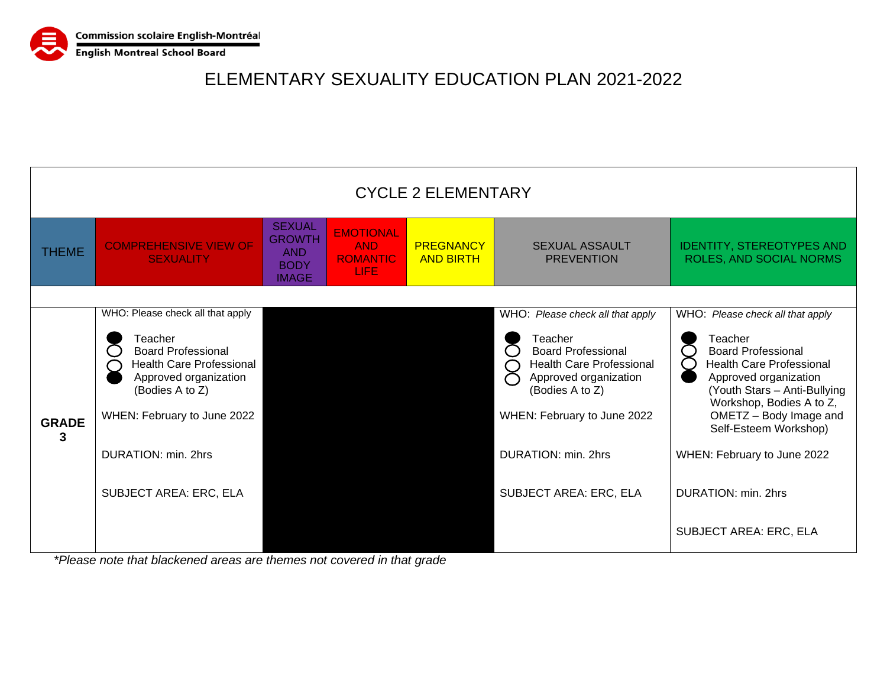

| <b>CYCLE 2 ELEMENTARY</b> |                                                                                                                                                                                                                                                |                                                                      |                                                            |                                      |                                                                                                                                                                                                                                                                                                                                      |                                                                                                                                                                                                                                                                                                                                                 |
|---------------------------|------------------------------------------------------------------------------------------------------------------------------------------------------------------------------------------------------------------------------------------------|----------------------------------------------------------------------|------------------------------------------------------------|--------------------------------------|--------------------------------------------------------------------------------------------------------------------------------------------------------------------------------------------------------------------------------------------------------------------------------------------------------------------------------------|-------------------------------------------------------------------------------------------------------------------------------------------------------------------------------------------------------------------------------------------------------------------------------------------------------------------------------------------------|
| <b>THEME</b>              | <b>COMPREHENSIVE VIEW OF</b><br><b>SEXUALITY</b>                                                                                                                                                                                               | <b>SEXUAL</b><br><b>GROWTH</b><br>AND<br><b>BODY</b><br><b>IMAGE</b> | <b>EMOTIONAL</b><br><b>AND</b><br><b>ROMANTIC</b><br>LIFE. | <b>PREGNANCY</b><br><b>AND BIRTH</b> | <b>SEXUAL ASSAULT</b><br><b>PREVENTION</b>                                                                                                                                                                                                                                                                                           | <b>IDENTITY, STEREOTYPES AND</b><br>ROLES, AND SOCIAL NORMS                                                                                                                                                                                                                                                                                     |
| <b>GRADE</b><br>3         | WHO: Please check all that apply<br>Teacher<br><b>Board Professional</b><br><b>Health Care Professional</b><br>Approved organization<br>(Bodies A to Z)<br>WHEN: February to June 2022<br>DURATION: min. 2hrs<br><b>SUBJECT AREA: ERC, ELA</b> |                                                                      |                                                            |                                      | WHO: Please check all that apply<br>Teacher<br>$\begin{array}{c} \begin{array}{c} \begin{array}{c} \end{array} \end{array}$<br><b>Board Professional</b><br>Health Care Professional<br>$\bigcap$<br>Approved organization<br>(Bodies A to Z)<br>WHEN: February to June 2022<br>DURATION: min. 2hrs<br><b>SUBJECT AREA: ERC, ELA</b> | WHO: Please check all that apply<br>Teacher<br><b>Board Professional</b><br><b>Health Care Professional</b><br>(<br>Approved organization<br>(Youth Stars - Anti-Bullying<br>Workshop, Bodies A to Z,<br>OMETZ - Body Image and<br>Self-Esteem Workshop)<br>WHEN: February to June 2022<br>DURATION: min. 2hrs<br><b>SUBJECT AREA: ERC, ELA</b> |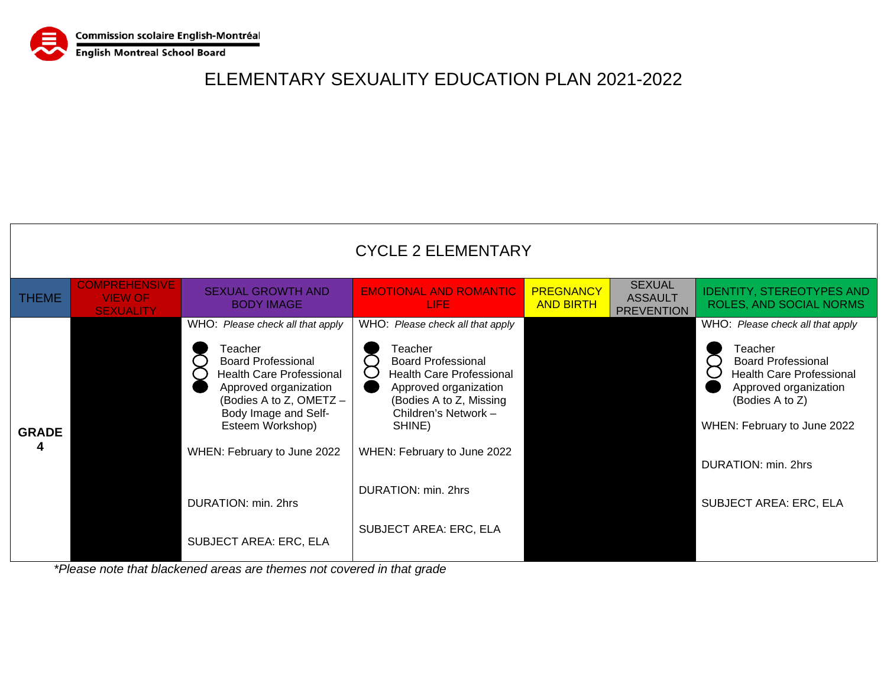

|                   |                                                            |                                                                                                                                                                                                                                                                                                    | <b>CYCLE 2 ELEMENTARY</b>                                                                                                                                                                                                                                                                |                                      |                                                      |                                                                                                                                                                                                                                                |
|-------------------|------------------------------------------------------------|----------------------------------------------------------------------------------------------------------------------------------------------------------------------------------------------------------------------------------------------------------------------------------------------------|------------------------------------------------------------------------------------------------------------------------------------------------------------------------------------------------------------------------------------------------------------------------------------------|--------------------------------------|------------------------------------------------------|------------------------------------------------------------------------------------------------------------------------------------------------------------------------------------------------------------------------------------------------|
| <b>THEME</b>      | <b>COMPREHENSIVE</b><br><b>VIEW OF</b><br><b>SEXUALITY</b> | <b>SEXUAL GROWTH AND</b><br><b>BODY IMAGE</b>                                                                                                                                                                                                                                                      | <b>EMOTIONAL AND ROMANTIC</b><br>LIFE.                                                                                                                                                                                                                                                   | <b>PREGNANCY</b><br><b>AND BIRTH</b> | <b>SEXUAL</b><br><b>ASSAULT</b><br><b>PREVENTION</b> | <b>IDENTITY, STEREOTYPES AND</b><br>ROLES, AND SOCIAL NORMS                                                                                                                                                                                    |
| <b>GRADE</b><br>4 |                                                            | WHO: Please check all that apply<br>Teacher<br><b>Board Professional</b><br><b>Health Care Professional</b><br>Approved organization<br>(Bodies A to Z, OMETZ -<br>Body Image and Self-<br>Esteem Workshop)<br>WHEN: February to June 2022<br>DURATION: min. 2hrs<br><b>SUBJECT AREA: ERC, ELA</b> | WHO: Please check all that apply<br>Teacher<br><b>Board Professional</b><br><b>Health Care Professional</b><br>Approved organization<br>(Bodies A to Z, Missing<br>Children's Network -<br>SHINE)<br>WHEN: February to June 2022<br>DURATION: min. 2hrs<br><b>SUBJECT AREA: ERC, ELA</b> |                                      |                                                      | WHO: Please check all that apply<br>Teacher<br><b>Board Professional</b><br><b>Health Care Professional</b><br>Approved organization<br>(Bodies A to Z)<br>WHEN: February to June 2022<br>DURATION: min. 2hrs<br><b>SUBJECT AREA: ERC, ELA</b> |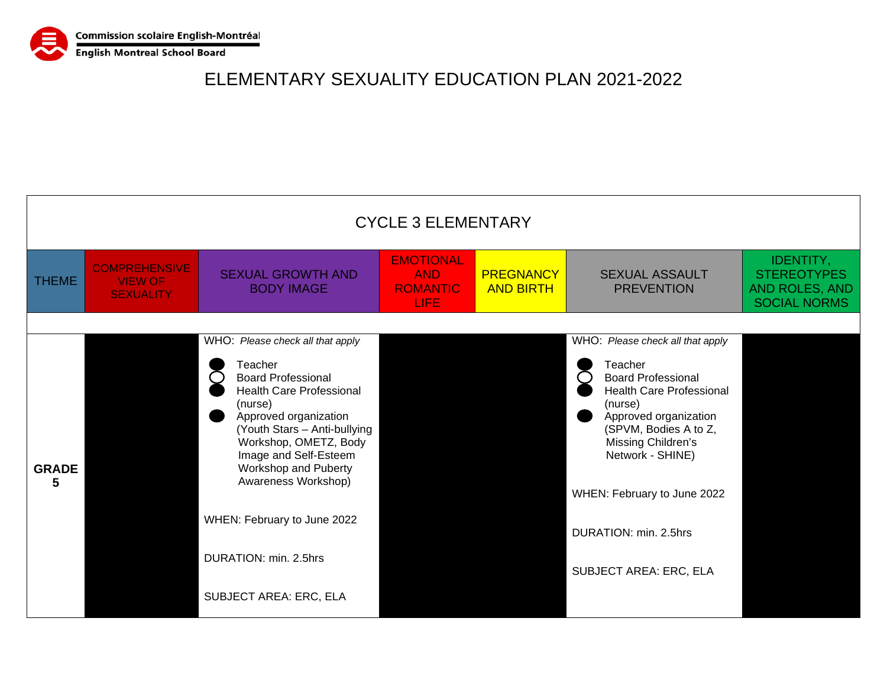

|                   | <b>CYCLE 3 ELEMENTARY</b>                                  |                                                                                                                                                                                                                                                                                                                                                                           |                                                                  |                                      |                                                                                                                                                                                                                                                                                                             |                                                                                 |  |  |  |
|-------------------|------------------------------------------------------------|---------------------------------------------------------------------------------------------------------------------------------------------------------------------------------------------------------------------------------------------------------------------------------------------------------------------------------------------------------------------------|------------------------------------------------------------------|--------------------------------------|-------------------------------------------------------------------------------------------------------------------------------------------------------------------------------------------------------------------------------------------------------------------------------------------------------------|---------------------------------------------------------------------------------|--|--|--|
| <b>THEME</b>      | <b>COMPREHENSIVE</b><br><b>VIEW OF</b><br><b>SEXUALITY</b> | <b>SEXUAL GROWTH AND</b><br><b>BODY IMAGE</b>                                                                                                                                                                                                                                                                                                                             | <b>EMOTIONAL</b><br><b>AND</b><br><b>ROMANTIC</b><br><b>LIFE</b> | <b>PREGNANCY</b><br><b>AND BIRTH</b> | <b>SEXUAL ASSAULT</b><br><b>PREVENTION</b>                                                                                                                                                                                                                                                                  | <b>IDENTITY,</b><br><b>STEREOTYPES</b><br>AND ROLES, AND<br><b>SOCIAL NORMS</b> |  |  |  |
| <b>GRADE</b><br>5 |                                                            | WHO: Please check all that apply<br>Teacher<br><b>Board Professional</b><br><b>Health Care Professional</b><br>(nurse)<br>Approved organization<br>(Youth Stars - Anti-bullying<br>Workshop, OMETZ, Body<br>Image and Self-Esteem<br>Workshop and Puberty<br>Awareness Workshop)<br>WHEN: February to June 2022<br>DURATION: min. 2.5hrs<br><b>SUBJECT AREA: ERC, ELA</b> |                                                                  |                                      | WHO: Please check all that apply<br>Teacher<br><b>Board Professional</b><br><b>Health Care Professional</b><br>(nurse)<br>Approved organization<br>(SPVM, Bodies A to Z,<br>Missing Children's<br>Network - SHINE)<br>WHEN: February to June 2022<br>DURATION: min. 2.5hrs<br><b>SUBJECT AREA: ERC, ELA</b> |                                                                                 |  |  |  |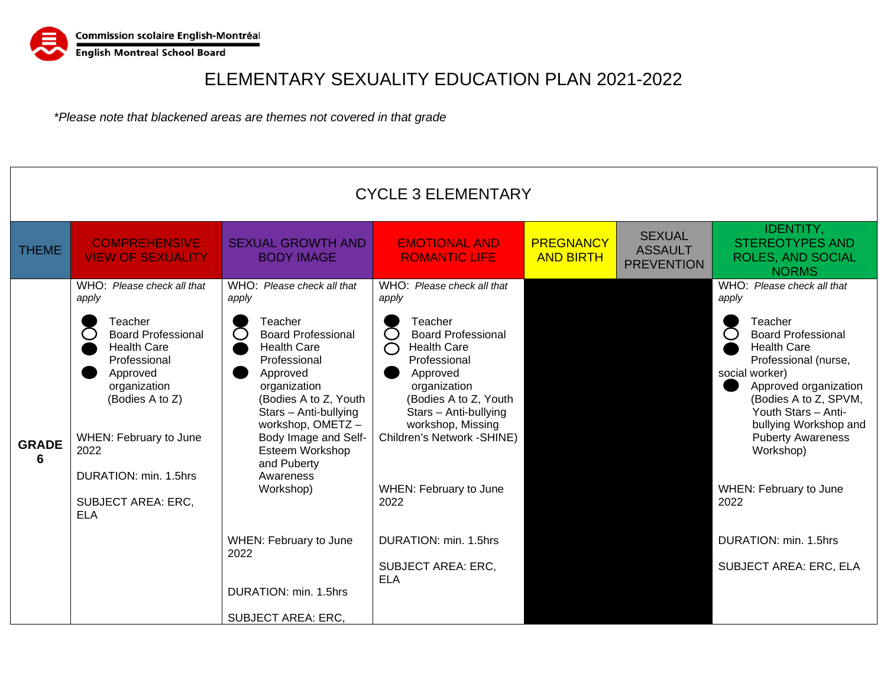

|                   |                                                                                                                                                                                                                                                                        |                                                                                                                                                                                                                                                                                                                                                                                                 | <b>CYCLE 3 ELEMENTARY</b>                                                                                                                                                                                                                                                                                                                                              |                                      |                                                      |                                                                                                                                                                                                                                                                                                                                                                                    |
|-------------------|------------------------------------------------------------------------------------------------------------------------------------------------------------------------------------------------------------------------------------------------------------------------|-------------------------------------------------------------------------------------------------------------------------------------------------------------------------------------------------------------------------------------------------------------------------------------------------------------------------------------------------------------------------------------------------|------------------------------------------------------------------------------------------------------------------------------------------------------------------------------------------------------------------------------------------------------------------------------------------------------------------------------------------------------------------------|--------------------------------------|------------------------------------------------------|------------------------------------------------------------------------------------------------------------------------------------------------------------------------------------------------------------------------------------------------------------------------------------------------------------------------------------------------------------------------------------|
| <b>THEME</b>      | <b>COMPREHENSIVE</b><br><b>VIEW OF SEXUALITY</b>                                                                                                                                                                                                                       | <b>SEXUAL GROWTH AND</b><br><b>BODY IMAGE</b>                                                                                                                                                                                                                                                                                                                                                   | <b>EMOTIONAL AND</b><br><b>ROMANTIC LIFE</b>                                                                                                                                                                                                                                                                                                                           | <b>PREGNANCY</b><br><b>AND BIRTH</b> | <b>SEXUAL</b><br><b>ASSAULT</b><br><b>PREVENTION</b> | <b>IDENTITY,</b><br><b>STEREOTYPES AND</b><br><b>ROLES, AND SOCIAL</b><br><b>NORMS</b>                                                                                                                                                                                                                                                                                             |
| <b>GRADE</b><br>6 | WHO: Please check all that<br>apply<br>Teacher<br><b>Board Professional</b><br><b>Health Care</b><br>Professional<br>Approved<br>organization<br>(Bodies A to Z)<br>WHEN: February to June<br>2022<br>DURATION: min. 1.5hrs<br><b>SUBJECT AREA: ERC,</b><br><b>ELA</b> | WHO: Please check all that<br>apply<br>Teacher<br><b>Board Professional</b><br><b>Health Care</b><br>Professional<br>Approved<br>organization<br>(Bodies A to Z, Youth<br>Stars - Anti-bullying<br>workshop, OMETZ-<br>Body Image and Self-<br>Esteem Workshop<br>and Puberty<br>Awareness<br>Workshop)<br>WHEN: February to June<br>2022<br>DURATION: min. 1.5hrs<br><b>SUBJECT AREA: ERC,</b> | WHO: Please check all that<br>apply<br>Teacher<br><b>Board Professional</b><br><b>Health Care</b><br>$\bigcap$<br>Professional<br>Approved<br>organization<br>(Bodies A to Z, Youth<br>Stars - Anti-bullying<br>workshop, Missing<br>Children's Network - SHINE)<br>WHEN: February to June<br>2022<br>DURATION: min. 1.5hrs<br><b>SUBJECT AREA: ERC,</b><br><b>ELA</b> |                                      |                                                      | WHO: Please check all that<br>apply<br>Teacher<br><b>Board Professional</b><br><b>Health Care</b><br>Professional (nurse,<br>social worker)<br>Approved organization<br>(Bodies A to Z, SPVM,<br>Youth Stars - Anti-<br>bullying Workshop and<br><b>Puberty Awareness</b><br>Workshop)<br>WHEN: February to June<br>2022<br>DURATION: min. 1.5hrs<br><b>SUBJECT AREA: ERC, ELA</b> |